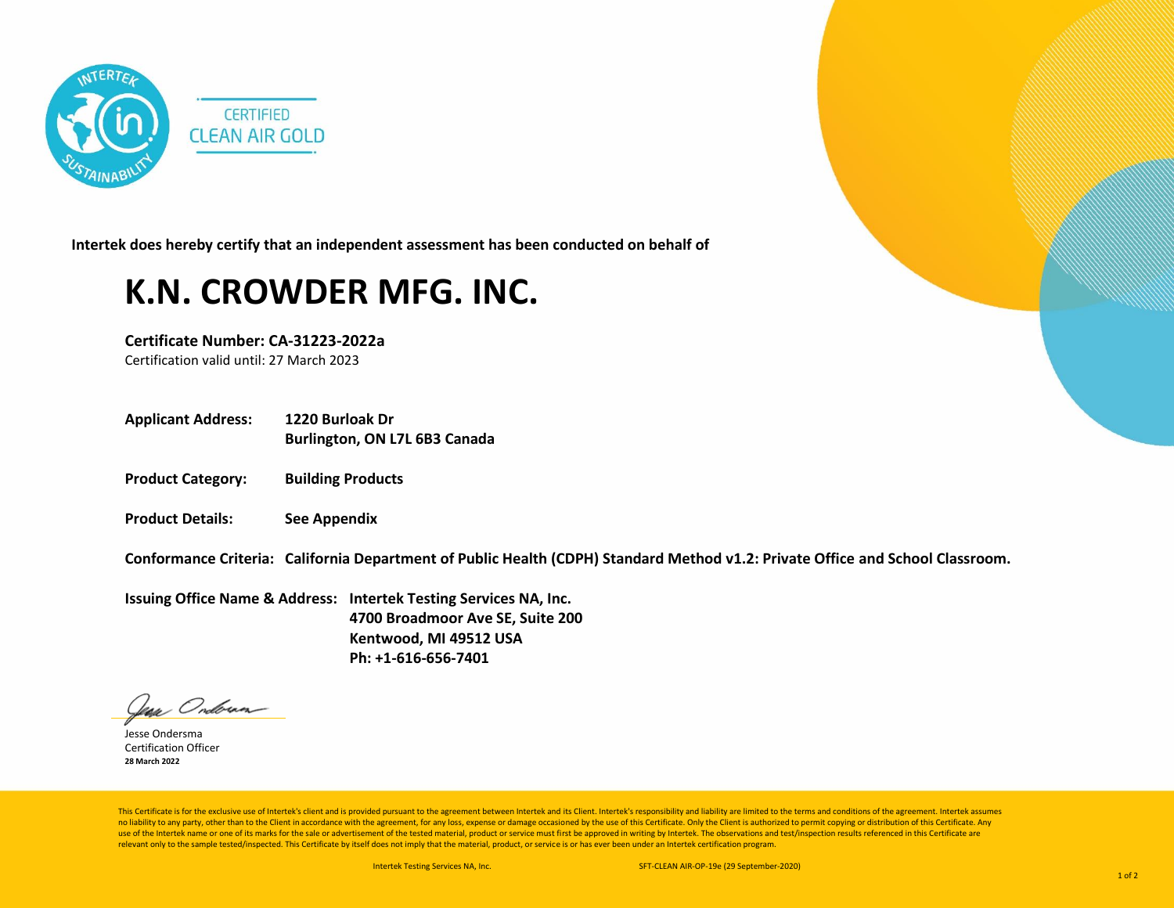

**Intertek does hereby certify that an independent assessment has been conducted on behalf of**

## **K.N. CROWDER MFG. INC.**

**Certificate Number: CA-31223-2022a** Certification valid until: 27 March 2023

**Applicant Address: 1220 Burloak Dr**

**Burlington, ON L7L 6B3 Canada**

- **Product Category: Building Products**
- **Product Details: See Appendix**

**Conformance Criteria: California Department of Public Health (CDPH) Standard Method v1.2: Private Office and School Classroom.**

**Issuing Office Name & Address: Intertek Testing Services NA, Inc. 4700 Broadmoor Ave SE, Suite 200 Kentwood, MI 49512 USA Ph: +1-616-656-7401**

lean Ondoran

Jesse Ondersma Certification Officer **28 March 2022**

This Certificate is for the exclusive use of Intertek's client and is provided pursuant to the agreement between Intertek and its Client. Intertek's responsibility and liability are limited to the terms and conditions of t no liability to any party, other than to the Client in accordance with the agreement, for any loss, expense or damage occasioned by the use of this Certificate. Only the Client is authorized to permit copying or distributi use of the Intertek name or one of its marks for the sale or advertisement of the tested material, product or service must first be approved in writing by Intertek. The observations and test/inspection results referenced i relevant only to the sample tested/inspected. This Certificate by itself does not imply that the material, product, or service is or has ever been under an Intertek certification program.